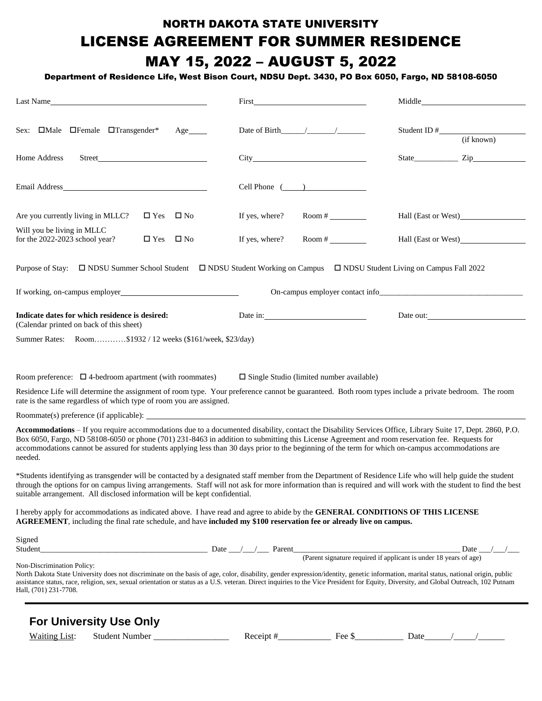#### NORTH DAKOTA STATE UNIVERSITY LICENSE AGREEMENT FOR SUMMER RESIDENCE MAY 15, 2022 – AUGUST 5, 2022

#### Department of Residence Life, West Bison Court, NDSU Dept. 3430, PO Box 6050, Fargo, ND 58108-6050

| Last Name                                                                                                                                                                                                                                                                                                                                                                                                                                                                    |                                                                                                                                                                                                                                                                                                                                                                                                                               |                                 |
|------------------------------------------------------------------------------------------------------------------------------------------------------------------------------------------------------------------------------------------------------------------------------------------------------------------------------------------------------------------------------------------------------------------------------------------------------------------------------|-------------------------------------------------------------------------------------------------------------------------------------------------------------------------------------------------------------------------------------------------------------------------------------------------------------------------------------------------------------------------------------------------------------------------------|---------------------------------|
| Sex: $\Box$ Male $\Box$ Female $\Box$ Transgender*<br>Age                                                                                                                                                                                                                                                                                                                                                                                                                    |                                                                                                                                                                                                                                                                                                                                                                                                                               | (if known)                      |
| Home Address<br>Street Park and the Street Park and the Street Park and the Street Park and the Street Park and the Street Park and the Street Park and the Street Park and the Street Park and the Street Park and the Street Park and the St                                                                                                                                                                                                                               |                                                                                                                                                                                                                                                                                                                                                                                                                               |                                 |
| Email Address and the state of the state of the state of the state of the state of the state of the state of the state of the state of the state of the state of the state of the state of the state of the state of the state                                                                                                                                                                                                                                               | $Cell$ Phone $($                                                                                                                                                                                                                                                                                                                                                                                                              |                                 |
| $\Box$ Yes $\Box$ No<br>Are you currently living in MLLC?                                                                                                                                                                                                                                                                                                                                                                                                                    | If yes, where?<br>Room #                                                                                                                                                                                                                                                                                                                                                                                                      |                                 |
| Will you be living in MLLC<br>for the 2022-2023 school year?<br>$\square$ Yes<br>$\square$ No                                                                                                                                                                                                                                                                                                                                                                                | If yes, where?<br>Room # $\frac{1}{2}$                                                                                                                                                                                                                                                                                                                                                                                        |                                 |
| Purpose of Stay: □ NDSU Summer School Student □ NDSU Student Working on Campus □ NDSU Student Living on Campus Fall 2022                                                                                                                                                                                                                                                                                                                                                     |                                                                                                                                                                                                                                                                                                                                                                                                                               |                                 |
| If working, on-campus employer<br><u>Letter</u> and the set of the set of the set of the set of the set of the set of the set of the set of the set of the set of the set of the set of the set of the set of the set of the set of t                                                                                                                                                                                                                                        |                                                                                                                                                                                                                                                                                                                                                                                                                               | On-campus employer contact info |
| Indicate dates for which residence is desired:<br>(Calendar printed on back of this sheet)                                                                                                                                                                                                                                                                                                                                                                                   | Date in:                                                                                                                                                                                                                                                                                                                                                                                                                      | Date out:                       |
| Summer Rates: Room\$1932 / 12 weeks (\$161/week, \$23/day)                                                                                                                                                                                                                                                                                                                                                                                                                   |                                                                                                                                                                                                                                                                                                                                                                                                                               |                                 |
| Room preference: $\Box$ 4-bedroom apartment (with roommates)                                                                                                                                                                                                                                                                                                                                                                                                                 | $\square$ Single Studio (limited number available)                                                                                                                                                                                                                                                                                                                                                                            |                                 |
| Residence Life will determine the assignment of room type. Your preference cannot be guaranteed. Both room types include a private bedroom. The room<br>rate is the same regardless of which type of room you are assigned.                                                                                                                                                                                                                                                  |                                                                                                                                                                                                                                                                                                                                                                                                                               |                                 |
|                                                                                                                                                                                                                                                                                                                                                                                                                                                                              |                                                                                                                                                                                                                                                                                                                                                                                                                               |                                 |
| Accommodations - If you require accommodations due to a documented disability, contact the Disability Services Office, Library Suite 17, Dept. 2860, P.O.<br>Box 6050, Fargo, ND 58108-6050 or phone (701) 231-8463 in addition to submitting this License Agreement and room reservation fee. Requests for<br>accommodations cannot be assured for students applying less than 30 days prior to the beginning of the term for which on-campus accommodations are<br>needed. |                                                                                                                                                                                                                                                                                                                                                                                                                               |                                 |
| *Students identifying as transgender will be contacted by a designated staff member from the Department of Residence Life who will help guide the student<br>through the options for on campus living arrangements. Staff will not ask for more information than is required and will work with the student to find the best<br>suitable arrangement. All disclosed information will be kept confidential.                                                                   |                                                                                                                                                                                                                                                                                                                                                                                                                               |                                 |
| I hereby apply for accommodations as indicated above. I have read and agree to abide by the GENERAL CONDITIONS OF THIS LICENSE<br>AGREEMENT, including the final rate schedule, and have included my \$100 reservation fee or already live on campus.                                                                                                                                                                                                                        |                                                                                                                                                                                                                                                                                                                                                                                                                               |                                 |
| Signed<br>Student                                                                                                                                                                                                                                                                                                                                                                                                                                                            | Date $\frac{1}{\sqrt{1-\frac{1}{\sqrt{1-\frac{1}{\sqrt{1-\frac{1}{\sqrt{1-\frac{1}{\sqrt{1-\frac{1}{\sqrt{1-\frac{1}{\sqrt{1-\frac{1}{\sqrt{1-\frac{1}{\sqrt{1-\frac{1}{\sqrt{1-\frac{1}{\sqrt{1-\frac{1}{\sqrt{1-\frac{1}{\sqrt{1-\frac{1}{\sqrt{1-\frac{1}{\sqrt{1-\frac{1}{\sqrt{1-\frac{1}{\sqrt{1-\frac{1}{\sqrt{1-\frac{1}{\sqrt{1-\frac{1}{\sqrt{1-\frac{1}{\sqrt{1-\frac{1}{\sqrt{1-\frac{1}{\sqrt{1-\frac{1}{\sqrt{$ |                                 |
| Non-Discrimination Policy:<br>North Dakota State University does not discriminate on the basis of age, color, disability, gender expression/identity, genetic information, marital status, national origin, public<br>assistance status, race, religion, sex, sexual orientation or status as a U.S. veteran. Direct inquiries to the Vice President for Equity, Diversity, and Global Outreach, 102 Putnam<br>Hall, (701) 231-7708.                                         |                                                                                                                                                                                                                                                                                                                                                                                                                               |                                 |
| <b>Earlhiversity Llea Only</b>                                                                                                                                                                                                                                                                                                                                                                                                                                               |                                                                                                                                                                                                                                                                                                                                                                                                                               |                                 |

|                      | <b>FOR UNIVERSITY USE UNIV</b> |           |                  |      |  |
|----------------------|--------------------------------|-----------|------------------|------|--|
| <b>Waiting List:</b> | Student Number                 | Receipt # | $E_{\mathbf{A}}$ | Date |  |